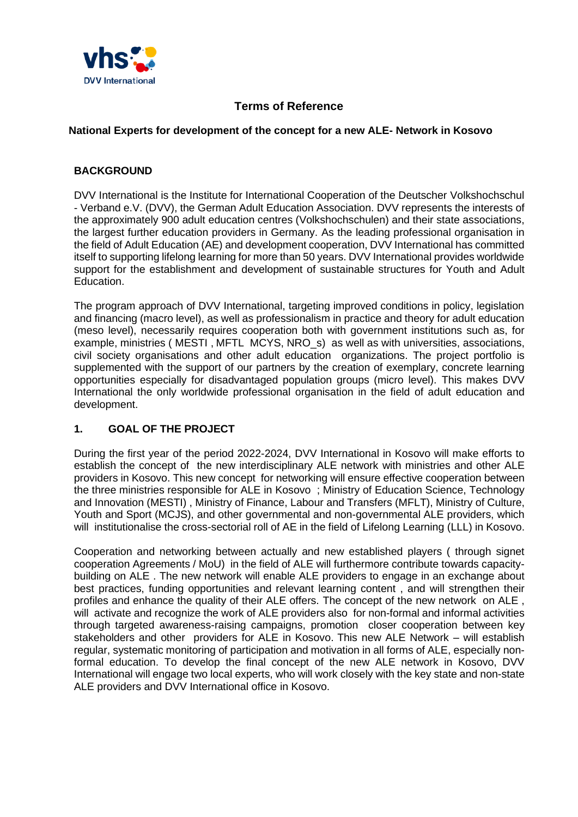

## **Terms of Reference**

#### **National Experts for development of the concept for a new ALE- Network in Kosovo**

#### **BACKGROUND**

DVV International is the Institute for International Cooperation of the Deutscher Volkshochschul - Verband e.V. (DVV), the German Adult Education Association. DVV represents the interests of the approximately 900 adult education centres (Volkshochschulen) and their state associations, the largest further education providers in Germany. As the leading professional organisation in the field of Adult Education (AE) and development cooperation, DVV International has committed itself to supporting lifelong learning for more than 50 years. DVV International provides worldwide support for the establishment and development of sustainable structures for Youth and Adult Education.

The program approach of DVV International, targeting improved conditions in policy, legislation and financing (macro level), as well as professionalism in practice and theory for adult education (meso level), necessarily requires cooperation both with government institutions such as, for example, ministries ( MESTI , MFTL MCYS, NRO\_s) as well as with universities, associations, civil society organisations and other adult education organizations. The project portfolio is supplemented with the support of our partners by the creation of exemplary, concrete learning opportunities especially for disadvantaged population groups (micro level). This makes DVV International the only worldwide professional organisation in the field of adult education and development.

## **1. GOAL OF THE PROJECT**

During the first year of the period 2022-2024, DVV International in Kosovo will make efforts to establish the concept of the new interdisciplinary ALE network with ministries and other ALE providers in Kosovo. This new concept for networking will ensure effective cooperation between the three ministries responsible for ALE in Kosovo ; Ministry of Education Science, Technology and Innovation (MESTI) , Ministry of Finance, Labour and Transfers (MFLT), Ministry of Culture, Youth and Sport (MCJS), and other governmental and non-governmental ALE providers, which will institutionalise the cross-sectorial roll of AE in the field of Lifelong Learning (LLL) in Kosovo.

Cooperation and networking between actually and new established players ( through signet cooperation Agreements / MoU) in the field of ALE will furthermore contribute towards capacitybuilding on ALE . The new network will enable ALE providers to engage in an exchange about best practices, funding opportunities and relevant learning content , and will strengthen their profiles and enhance the quality of their ALE offers. The concept of the new network on ALE , will activate and recognize the work of ALE providers also for non-formal and informal activities through targeted awareness-raising campaigns, promotion closer cooperation between key stakeholders and other providers for ALE in Kosovo. This new ALE Network – will establish regular, systematic monitoring of participation and motivation in all forms of ALE, especially nonformal education. To develop the final concept of the new ALE network in Kosovo, DVV International will engage two local experts, who will work closely with the key state and non-state ALE providers and DVV International office in Kosovo.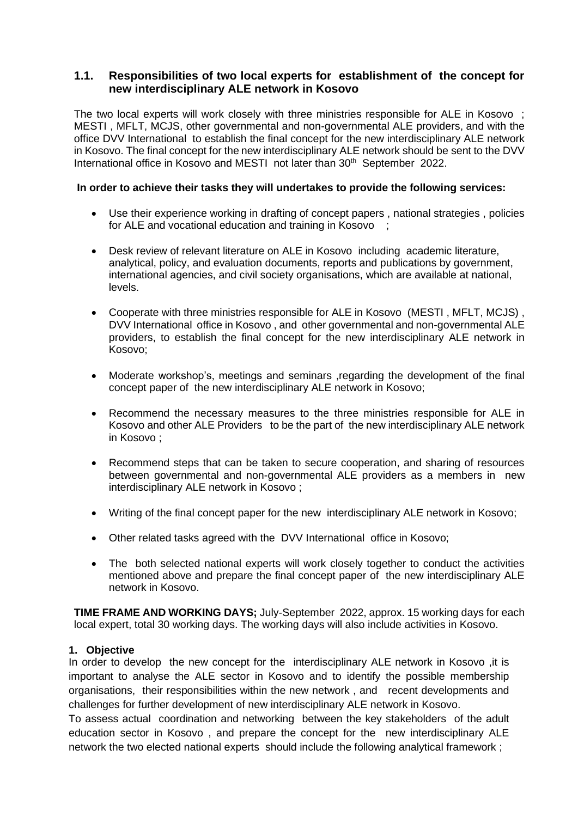## **1.1. Responsibilities of two local experts for establishment of the concept for new interdisciplinary ALE network in Kosovo**

The two local experts will work closely with three ministries responsible for ALE in Kosovo ; MESTI , MFLT, MCJS, other governmental and non-governmental ALE providers, and with the office DVV International to establish the final concept for the new interdisciplinary ALE network in Kosovo. The final concept for the new interdisciplinary ALE network should be sent to the DVV International office in Kosovo and MESTI not later than 30<sup>th</sup> September 2022.

#### **In order to achieve their tasks they will undertakes to provide the following services:**

- Use their experience working in drafting of concept papers , national strategies , policies for ALE and vocational education and training in Kosovo ;
- Desk review of relevant literature on ALE in Kosovo including academic literature, analytical, policy, and evaluation documents, reports and publications by government, international agencies, and civil society organisations, which are available at national, levels.
- Cooperate with three ministries responsible for ALE in Kosovo (MESTI , MFLT, MCJS) , DVV International office in Kosovo , and other governmental and non-governmental ALE providers, to establish the final concept for the new interdisciplinary ALE network in Kosovo;
- Moderate workshop's, meetings and seminars ,regarding the development of the final concept paper of the new interdisciplinary ALE network in Kosovo;
- Recommend the necessary measures to the three ministries responsible for ALE in Kosovo and other ALE Providers to be the part of the new interdisciplinary ALE network in Kosovo ;
- Recommend steps that can be taken to secure cooperation, and sharing of resources between governmental and non-governmental ALE providers as a members in new interdisciplinary ALE network in Kosovo ;
- Writing of the final concept paper for the new interdisciplinary ALE network in Kosovo;
- Other related tasks agreed with the DVV International office in Kosovo;
- The both selected national experts will work closely together to conduct the activities mentioned above and prepare the final concept paper of the new interdisciplinary ALE network in Kosovo.

**TIME FRAME AND WORKING DAYS;** July-September 2022, approx. 15 working days for each local expert, total 30 working days. The working days will also include activities in Kosovo.

#### **1. Objective**

In order to develop the new concept for the interdisciplinary ALE network in Kosovo ,it is important to analyse the ALE sector in Kosovo and to identify the possible membership organisations, their responsibilities within the new network , and recent developments and challenges for further development of new interdisciplinary ALE network in Kosovo.

To assess actual coordination and networking between the key stakeholders of the adult education sector in Kosovo , and prepare the concept for the new interdisciplinary ALE network the two elected national experts should include the following analytical framework ;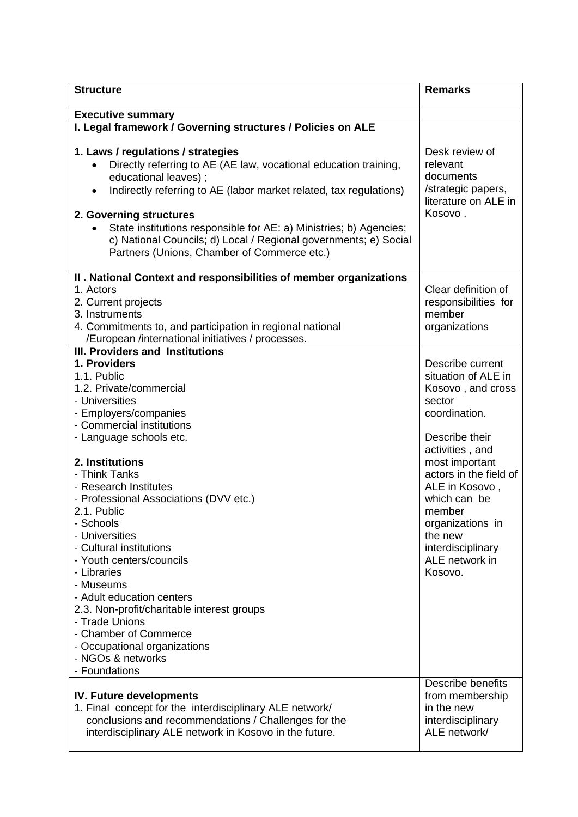| <b>Structure</b>                                                                                                                                                                                                                                                                                                                                                                                                                                   | <b>Remarks</b>                                                                                                                                                                                                       |
|----------------------------------------------------------------------------------------------------------------------------------------------------------------------------------------------------------------------------------------------------------------------------------------------------------------------------------------------------------------------------------------------------------------------------------------------------|----------------------------------------------------------------------------------------------------------------------------------------------------------------------------------------------------------------------|
| <b>Executive summary</b>                                                                                                                                                                                                                                                                                                                                                                                                                           |                                                                                                                                                                                                                      |
| I. Legal framework / Governing structures / Policies on ALE                                                                                                                                                                                                                                                                                                                                                                                        |                                                                                                                                                                                                                      |
| 1. Laws / regulations / strategies<br>Directly referring to AE (AE law, vocational education training,<br>$\bullet$<br>educational leaves);<br>Indirectly referring to AE (labor market related, tax regulations)<br>$\bullet$<br>2. Governing structures<br>State institutions responsible for AE: a) Ministries; b) Agencies;<br>c) National Councils; d) Local / Regional governments; e) Social<br>Partners (Unions, Chamber of Commerce etc.) | Desk review of<br>relevant<br>documents<br>/strategic papers,<br>literature on ALE in<br>Kosovo.                                                                                                                     |
| II . National Context and responsibilities of member organizations                                                                                                                                                                                                                                                                                                                                                                                 |                                                                                                                                                                                                                      |
| 1. Actors<br>2. Current projects<br>3. Instruments<br>4. Commitments to, and participation in regional national<br>/European /international initiatives / processes.                                                                                                                                                                                                                                                                               | Clear definition of<br>responsibilities for<br>member<br>organizations                                                                                                                                               |
| <b>III. Providers and Institutions</b>                                                                                                                                                                                                                                                                                                                                                                                                             |                                                                                                                                                                                                                      |
| 1. Providers<br>1.1. Public<br>1.2. Private/commercial<br>- Universities<br>- Employers/companies<br>- Commercial institutions<br>- Language schools etc.<br>2. Institutions<br>- Think Tanks<br>- Research Institutes<br>- Professional Associations (DVV etc.)<br>2.1. Public                                                                                                                                                                    | Describe current<br>situation of ALE in<br>Kosovo, and cross<br>sector<br>coordination.<br>Describe their<br>activities, and<br>most important<br>actors in the field of<br>ALE in Kosovo,<br>which can be<br>member |
| - Schools<br>- Universities<br>- Cultural institutions<br>- Youth centers/councils<br>- Libraries<br>- Museums<br>- Adult education centers<br>2.3. Non-profit/charitable interest groups<br>- Trade Unions<br>- Chamber of Commerce<br>- Occupational organizations<br>- NGOs & networks<br>- Foundations                                                                                                                                         | organizations in<br>the new<br>interdisciplinary<br>ALE network in<br>Kosovo.                                                                                                                                        |
| <b>IV. Future developments</b><br>1. Final concept for the interdisciplinary ALE network/<br>conclusions and recommendations / Challenges for the<br>interdisciplinary ALE network in Kosovo in the future.                                                                                                                                                                                                                                        | Describe benefits<br>from membership<br>in the new<br>interdisciplinary<br>ALE network/                                                                                                                              |